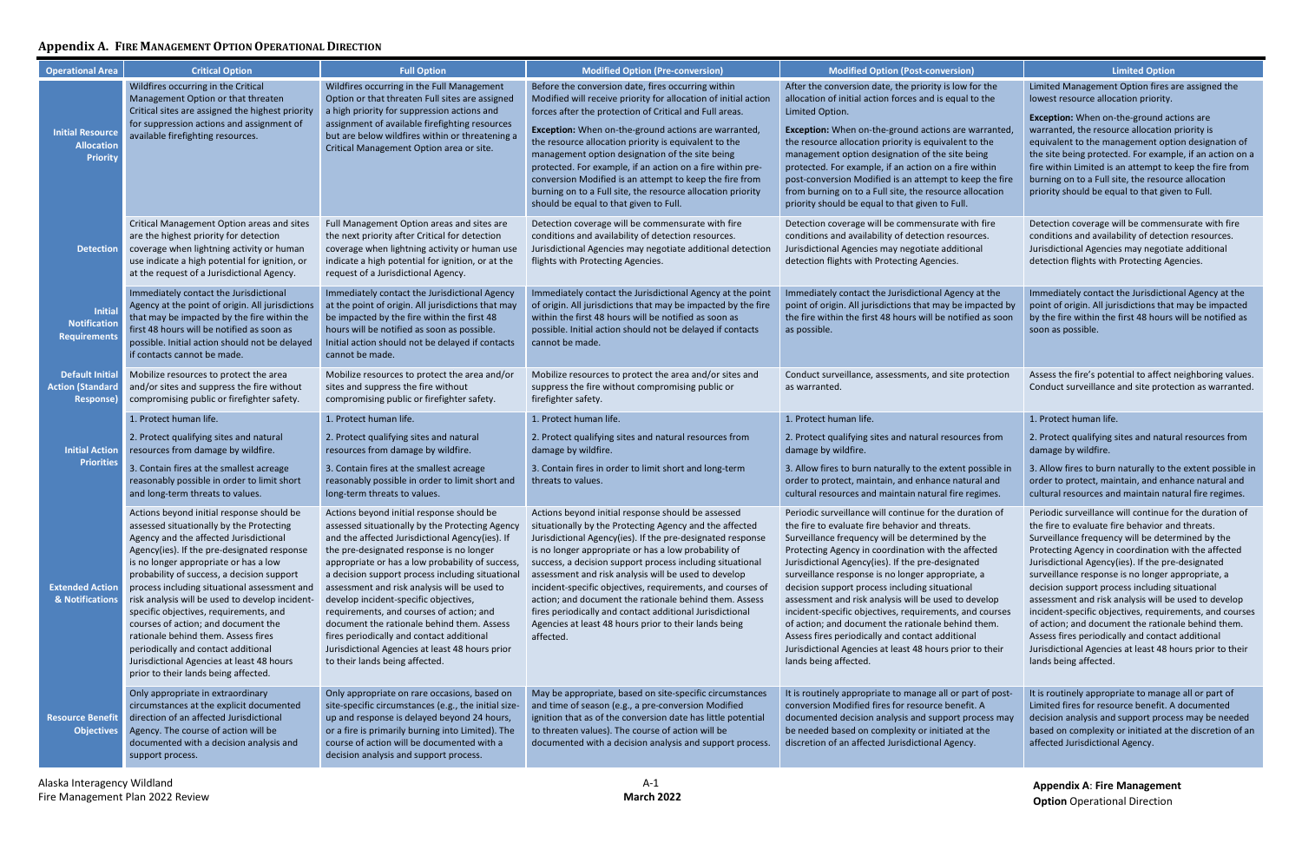**Appendix A**: **Fire Management Option** Operational Direction

# **Appendix A. FIRE MANAGEMENT OPTION OPERATIONAL DIRECTION**

| <b>Operational Area</b>                                         | <b>Critical Option</b>                                                                                                                                                                                                                                                                                                                                                                                                                                                                                                                                                                                                       | <b>Full Option</b>                                                                                                                                                                                                                                                                                                                                                                                                                                                                                                                                                                                                       | <b>Modified Option (Pre-conversion)</b>                                                                                                                                                                                                                                                                                                                                                                                                                                                                                                                                                                            | Modified Option (Post-conversion)                                                                                                                                                                                                                                                                                                                                                                                                                                                                                                                                                                                                                                                                   | <b>Limited Option</b>                                                                                                                                                                                                                                                                                                                                                                                                                                                                                                                                                                                                                                                                               |
|-----------------------------------------------------------------|------------------------------------------------------------------------------------------------------------------------------------------------------------------------------------------------------------------------------------------------------------------------------------------------------------------------------------------------------------------------------------------------------------------------------------------------------------------------------------------------------------------------------------------------------------------------------------------------------------------------------|--------------------------------------------------------------------------------------------------------------------------------------------------------------------------------------------------------------------------------------------------------------------------------------------------------------------------------------------------------------------------------------------------------------------------------------------------------------------------------------------------------------------------------------------------------------------------------------------------------------------------|--------------------------------------------------------------------------------------------------------------------------------------------------------------------------------------------------------------------------------------------------------------------------------------------------------------------------------------------------------------------------------------------------------------------------------------------------------------------------------------------------------------------------------------------------------------------------------------------------------------------|-----------------------------------------------------------------------------------------------------------------------------------------------------------------------------------------------------------------------------------------------------------------------------------------------------------------------------------------------------------------------------------------------------------------------------------------------------------------------------------------------------------------------------------------------------------------------------------------------------------------------------------------------------------------------------------------------------|-----------------------------------------------------------------------------------------------------------------------------------------------------------------------------------------------------------------------------------------------------------------------------------------------------------------------------------------------------------------------------------------------------------------------------------------------------------------------------------------------------------------------------------------------------------------------------------------------------------------------------------------------------------------------------------------------------|
| <b>Initial Resource</b><br><b>Allocation</b><br><b>Priority</b> | Wildfires occurring in the Critical<br>Management Option or that threaten<br>Critical sites are assigned the highest priority<br>for suppression actions and assignment of<br>available firefighting resources.                                                                                                                                                                                                                                                                                                                                                                                                              | Wildfires occurring in the Full Management<br>Option or that threaten Full sites are assigned<br>a high priority for suppression actions and<br>assignment of available firefighting resources<br>but are below wildfires within or threatening a<br>Critical Management Option area or site.                                                                                                                                                                                                                                                                                                                            | Before the conversion date, fires occurring within<br>Modified will receive priority for allocation of initial action<br>forces after the protection of Critical and Full areas.<br>Exception: When on-the-ground actions are warranted,<br>the resource allocation priority is equivalent to the<br>management option designation of the site being<br>protected. For example, if an action on a fire within pre-<br>conversion Modified is an attempt to keep the fire from<br>burning on to a Full site, the resource allocation priority<br>should be equal to that given to Full.                             | After the conversion date, the priority is low for the<br>allocation of initial action forces and is equal to the<br>Limited Option.<br>Exception: When on-the-ground actions are warranted,<br>the resource allocation priority is equivalent to the<br>management option designation of the site being<br>protected. For example, if an action on a fire within<br>post-conversion Modified is an attempt to keep the fire<br>from burning on to a Full site, the resource allocation<br>priority should be equal to that given to Full.                                                                                                                                                          | Limited Management Option fires are assigned the<br>lowest resource allocation priority.<br>Exception: When on-the-ground actions are<br>warranted, the resource allocation priority is<br>equivalent to the management option designation of<br>the site being protected. For example, if an action on a<br>fire within Limited is an attempt to keep the fire from<br>burning on to a Full site, the resource allocation<br>priority should be equal to that given to Full.                                                                                                                                                                                                                       |
| <b>Detection</b>                                                | Critical Management Option areas and sites<br>are the highest priority for detection<br>coverage when lightning activity or human<br>use indicate a high potential for ignition, or<br>at the request of a Jurisdictional Agency.                                                                                                                                                                                                                                                                                                                                                                                            | Full Management Option areas and sites are<br>the next priority after Critical for detection<br>coverage when lightning activity or human use<br>indicate a high potential for ignition, or at the<br>request of a Jurisdictional Agency.                                                                                                                                                                                                                                                                                                                                                                                | Detection coverage will be commensurate with fire<br>conditions and availability of detection resources.<br>Jurisdictional Agencies may negotiate additional detection<br>flights with Protecting Agencies.                                                                                                                                                                                                                                                                                                                                                                                                        | Detection coverage will be commensurate with fire<br>conditions and availability of detection resources.<br>Jurisdictional Agencies may negotiate additional<br>detection flights with Protecting Agencies.                                                                                                                                                                                                                                                                                                                                                                                                                                                                                         | Detection coverage will be commensurate with fire<br>conditions and availability of detection resources.<br>Jurisdictional Agencies may negotiate additional<br>detection flights with Protecting Agencies.                                                                                                                                                                                                                                                                                                                                                                                                                                                                                         |
| <b>Initial</b><br><b>Notification</b><br><b>Requirements</b>    | Immediately contact the Jurisdictional<br>Agency at the point of origin. All jurisdictions<br>that may be impacted by the fire within the<br>first 48 hours will be notified as soon as<br>possible. Initial action should not be delayed<br>if contacts cannot be made.                                                                                                                                                                                                                                                                                                                                                     | Immediately contact the Jurisdictional Agency<br>at the point of origin. All jurisdictions that may<br>be impacted by the fire within the first 48<br>hours will be notified as soon as possible.<br>Initial action should not be delayed if contacts<br>cannot be made.                                                                                                                                                                                                                                                                                                                                                 | Immediately contact the Jurisdictional Agency at the point<br>of origin. All jurisdictions that may be impacted by the fire<br>within the first 48 hours will be notified as soon as<br>possible. Initial action should not be delayed if contacts<br>cannot be made.                                                                                                                                                                                                                                                                                                                                              | Immediately contact the Jurisdictional Agency at the<br>point of origin. All jurisdictions that may be impacted by<br>the fire within the first 48 hours will be notified as soon<br>as possible.                                                                                                                                                                                                                                                                                                                                                                                                                                                                                                   | Immediately contact the Jurisdictional Agency at the<br>point of origin. All jurisdictions that may be impacted<br>by the fire within the first 48 hours will be notified as<br>soon as possible.                                                                                                                                                                                                                                                                                                                                                                                                                                                                                                   |
| <b>Default Initial</b><br><b>Action (Standard</b><br>Response)  | Mobilize resources to protect the area<br>and/or sites and suppress the fire without<br>compromising public or firefighter safety.                                                                                                                                                                                                                                                                                                                                                                                                                                                                                           | Mobilize resources to protect the area and/or<br>sites and suppress the fire without<br>compromising public or firefighter safety.                                                                                                                                                                                                                                                                                                                                                                                                                                                                                       | Mobilize resources to protect the area and/or sites and<br>suppress the fire without compromising public or<br>firefighter safety.                                                                                                                                                                                                                                                                                                                                                                                                                                                                                 | Conduct surveillance, assessments, and site protection<br>as warranted.                                                                                                                                                                                                                                                                                                                                                                                                                                                                                                                                                                                                                             | Assess the fire's potential to affect neighboring values.<br>Conduct surveillance and site protection as warranted.                                                                                                                                                                                                                                                                                                                                                                                                                                                                                                                                                                                 |
|                                                                 | 1. Protect human life.                                                                                                                                                                                                                                                                                                                                                                                                                                                                                                                                                                                                       | 1. Protect human life.                                                                                                                                                                                                                                                                                                                                                                                                                                                                                                                                                                                                   | 1. Protect human life.                                                                                                                                                                                                                                                                                                                                                                                                                                                                                                                                                                                             | 1. Protect human life.                                                                                                                                                                                                                                                                                                                                                                                                                                                                                                                                                                                                                                                                              | 1. Protect human life.                                                                                                                                                                                                                                                                                                                                                                                                                                                                                                                                                                                                                                                                              |
| <b>Initial Action</b><br><b>Priorities</b>                      | 2. Protect qualifying sites and natural<br>resources from damage by wildfire.                                                                                                                                                                                                                                                                                                                                                                                                                                                                                                                                                | 2. Protect qualifying sites and natural<br>resources from damage by wildfire.                                                                                                                                                                                                                                                                                                                                                                                                                                                                                                                                            | 2. Protect qualifying sites and natural resources from<br>damage by wildfire.                                                                                                                                                                                                                                                                                                                                                                                                                                                                                                                                      | 2. Protect qualifying sites and natural resources from<br>damage by wildfire.                                                                                                                                                                                                                                                                                                                                                                                                                                                                                                                                                                                                                       | 2. Protect qualifying sites and natural resources from<br>damage by wildfire.                                                                                                                                                                                                                                                                                                                                                                                                                                                                                                                                                                                                                       |
|                                                                 | 3. Contain fires at the smallest acreage<br>reasonably possible in order to limit short<br>and long-term threats to values.                                                                                                                                                                                                                                                                                                                                                                                                                                                                                                  | 3. Contain fires at the smallest acreage<br>reasonably possible in order to limit short and<br>long-term threats to values.                                                                                                                                                                                                                                                                                                                                                                                                                                                                                              | 3. Contain fires in order to limit short and long-term<br>threats to values.                                                                                                                                                                                                                                                                                                                                                                                                                                                                                                                                       | 3. Allow fires to burn naturally to the extent possible ir<br>order to protect, maintain, and enhance natural and<br>cultural resources and maintain natural fire regimes.                                                                                                                                                                                                                                                                                                                                                                                                                                                                                                                          | 3. Allow fires to burn naturally to the extent possible in<br>order to protect, maintain, and enhance natural and<br>cultural resources and maintain natural fire regimes.                                                                                                                                                                                                                                                                                                                                                                                                                                                                                                                          |
| <b>Extended Action</b><br>& Notifications                       | Actions beyond initial response should be<br>assessed situationally by the Protecting<br>Agency and the affected Jurisdictional<br>Agency(ies). If the pre-designated response<br>is no longer appropriate or has a low<br>probability of success, a decision support<br>process including situational assessment and<br>risk analysis will be used to develop incident-<br>specific objectives, requirements, and<br>courses of action; and document the<br>rationale behind them. Assess fires<br>periodically and contact additional<br>Jurisdictional Agencies at least 48 hours<br>prior to their lands being affected. | Actions beyond initial response should be<br>assessed situationally by the Protecting Agency<br>and the affected Jurisdictional Agency(ies). If<br>the pre-designated response is no longer<br>appropriate or has a low probability of success,<br>a decision support process including situational<br>assessment and risk analysis will be used to<br>develop incident-specific objectives,<br>requirements, and courses of action; and<br>document the rationale behind them. Assess<br>fires periodically and contact additional<br>Jurisdictional Agencies at least 48 hours prior<br>to their lands being affected. | Actions beyond initial response should be assessed<br>situationally by the Protecting Agency and the affected<br>Jurisdictional Agency(ies). If the pre-designated response<br>is no longer appropriate or has a low probability of<br>success, a decision support process including situational<br>assessment and risk analysis will be used to develop<br>incident-specific objectives, requirements, and courses of<br>action; and document the rationale behind them. Assess<br>fires periodically and contact additional Jurisdictional<br>Agencies at least 48 hours prior to their lands being<br>affected. | Periodic surveillance will continue for the duration of<br>the fire to evaluate fire behavior and threats.<br>Surveillance frequency will be determined by the<br>Protecting Agency in coordination with the affected<br>Jurisdictional Agency(ies). If the pre-designated<br>surveillance response is no longer appropriate, a<br>decision support process including situational<br>assessment and risk analysis will be used to develop<br>incident-specific objectives, requirements, and courses<br>of action; and document the rationale behind them.<br>Assess fires periodically and contact additional<br>Jurisdictional Agencies at least 48 hours prior to their<br>lands being affected. | Periodic surveillance will continue for the duration of<br>the fire to evaluate fire behavior and threats.<br>Surveillance frequency will be determined by the<br>Protecting Agency in coordination with the affected<br>Jurisdictional Agency(ies). If the pre-designated<br>surveillance response is no longer appropriate, a<br>decision support process including situational<br>assessment and risk analysis will be used to develop<br>incident-specific objectives, requirements, and courses<br>of action; and document the rationale behind them.<br>Assess fires periodically and contact additional<br>Jurisdictional Agencies at least 48 hours prior to their<br>lands being affected. |
| <b>Resource Benefit</b><br><b>Objectives</b>                    | Only appropriate in extraordinary<br>circumstances at the explicit documented<br>direction of an affected Jurisdictional<br>Agency. The course of action will be<br>documented with a decision analysis and<br>support process.                                                                                                                                                                                                                                                                                                                                                                                              | Only appropriate on rare occasions, based on<br>site-specific circumstances (e.g., the initial size-<br>up and response is delayed beyond 24 hours,<br>or a fire is primarily burning into Limited). The<br>course of action will be documented with a<br>decision analysis and support process.                                                                                                                                                                                                                                                                                                                         | May be appropriate, based on site-specific circumstances<br>and time of season (e.g., a pre-conversion Modified<br>ignition that as of the conversion date has little potential<br>to threaten values). The course of action will be<br>documented with a decision analysis and support process.                                                                                                                                                                                                                                                                                                                   | It is routinely appropriate to manage all or part of post-<br>conversion Modified fires for resource benefit. A<br>documented decision analysis and support process may<br>be needed based on complexity or initiated at the<br>discretion of an affected Jurisdictional Agency.                                                                                                                                                                                                                                                                                                                                                                                                                    | It is routinely appropriate to manage all or part of<br>Limited fires for resource benefit. A documented<br>decision analysis and support process may be needed<br>based on complexity or initiated at the discretion of an<br>affected Jurisdictional Agency.                                                                                                                                                                                                                                                                                                                                                                                                                                      |